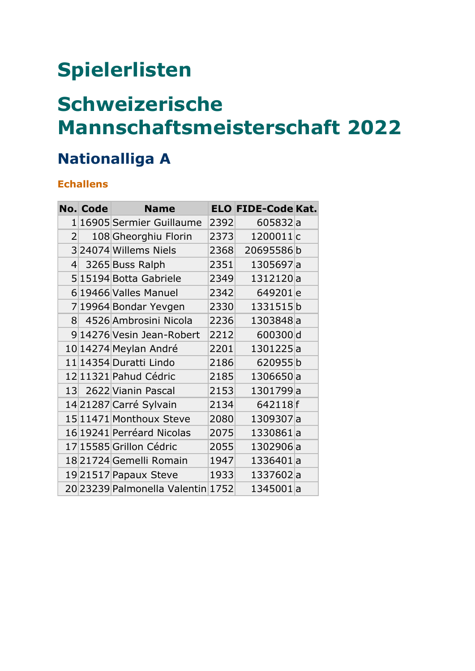# **Spielerlisten**

## **Schweizerische Mannschaftsmeisterschaft 2022**

### **Nationalliga A**

#### **Echallens**

|                    | <b>No. Code</b> | <b>Name</b>                       |      | <b>ELO FIDE-Code Kat.</b> |  |
|--------------------|-----------------|-----------------------------------|------|---------------------------|--|
| 1 <sup>1</sup>     |                 | 16905 Sermier Guillaume           | 2392 | 605832a                   |  |
| 2 <sup>1</sup>     |                 | 108 Gheorghiu Florin              | 2373 | 1200011c                  |  |
|                    |                 | 324074 Willems Niels              | 2368 | 20695586b                 |  |
| $\left  4 \right $ |                 | 3265 Buss Ralph                   | 2351 | 1305697a                  |  |
|                    |                 | 515194 Botta Gabriele             | 2349 | 1312120a                  |  |
|                    |                 | 6 19466 Valles Manuel             | 2342 | 649201 <sub>e</sub>       |  |
|                    |                 | 7 19964 Bondar Yevgen             | 2330 | 1331515b                  |  |
| 8 <sup>1</sup>     |                 | 4526 Ambrosini Nicola             | 2236 | 1303848a                  |  |
|                    |                 | 9 14276 Vesin Jean-Robert         | 2212 | 600300d                   |  |
|                    |                 | 10 14274 Meylan André             | 2201 | 1301225a                  |  |
|                    |                 | 11 14354 Duratti Lindo            | 2186 | 620955b                   |  |
|                    |                 | 12 11321 Pahud Cédric             | 2185 | 1306650a                  |  |
|                    |                 | 13 2622 Vianin Pascal             | 2153 | 1301799a                  |  |
|                    |                 | 14 21287 Carré Sylvain            | 2134 | 642118f                   |  |
|                    |                 | 15 11471 Monthoux Steve           | 2080 | 1309307a                  |  |
|                    |                 | 16 19241 Perréard Nicolas         | 2075 | 1330861a                  |  |
|                    |                 | 17 15585 Grillon Cédric           | 2055 | 1302906a                  |  |
|                    |                 | 18 21724 Gemelli Romain           | 1947 | 1336401a                  |  |
|                    |                 | 1921517 Papaux Steve              | 1933 | 1337602a                  |  |
|                    |                 | 20 23239 Palmonella Valentin 1752 |      | 1345001a                  |  |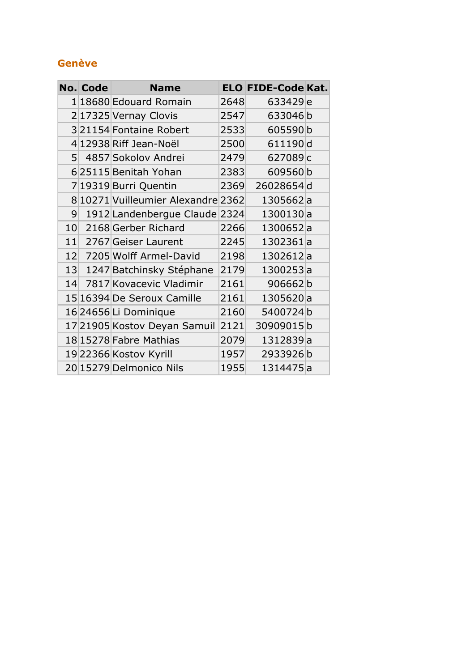#### **Genève**

|                | <b>No. Code</b> | <b>Name</b>                        |      | <b>ELO FIDE-Code Kat.</b> |  |
|----------------|-----------------|------------------------------------|------|---------------------------|--|
|                |                 | 1 18680 Edouard Romain             | 2648 | 633429 <sub>e</sub>       |  |
|                |                 | 2 17325 Vernay Clovis              | 2547 | 633046b                   |  |
|                |                 | 321154 Fontaine Robert             | 2533 | 605590b                   |  |
|                |                 | 4 12938 Riff Jean-Noël             | 2500 | 611190d                   |  |
| 5 <sup>1</sup> |                 | 4857 Sokolov Andrei                | 2479 | 627089c                   |  |
|                |                 | 625115 Benitah Yohan               | 2383 | 609560b                   |  |
|                |                 | 7 19319 Burri Quentin              | 2369 | 26028654d                 |  |
|                |                 | 8 10271 Vuilleumier Alexandre 2362 |      | 1305662a                  |  |
| 9              |                 | 1912 Landenbergue Claude 2324      |      | 1300130a                  |  |
| 10             |                 | 2168 Gerber Richard                | 2266 | 1300652a                  |  |
| 11             |                 | 2767 Geiser Laurent                | 2245 | 1302361a                  |  |
| 12             |                 | 7205 Wolff Armel-David             | 2198 | 1302612a                  |  |
| 13             |                 | 1247 Batchinsky Stéphane           | 2179 | 1300253a                  |  |
| 14             |                 | 7817 Kovacevic Vladimir            | 2161 | 906662b                   |  |
|                |                 | 15 16394 De Seroux Camille         | 2161 | 1305620a                  |  |
|                |                 | 16 24656 Li Dominique              | 2160 | 5400724b                  |  |
|                |                 | 17 21905 Kostov Deyan Samuil       | 2121 | 30909015b                 |  |
|                |                 | 18 15278 Fabre Mathias             | 2079 | 1312839a                  |  |
|                |                 | 1922366 Kostov Kyrill              | 1957 | 2933926b                  |  |
|                |                 | 20 15279 Delmonico Nils            | 1955 | 1314475a                  |  |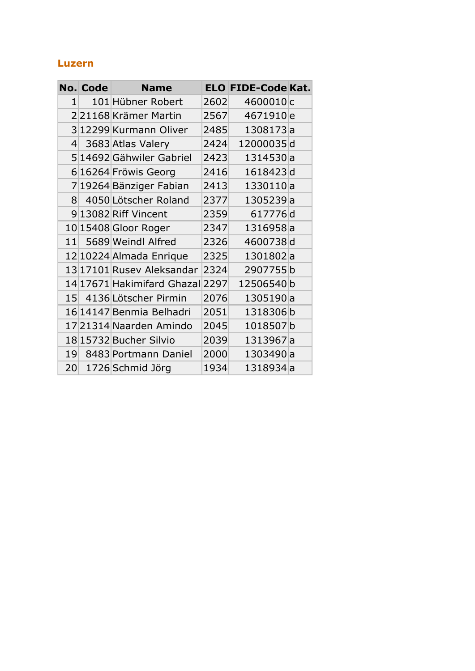#### **Luzern**

|    | <b>No. Code</b> | <b>Name</b>                |      | <b>ELO FIDE-Code Kat.</b> |  |
|----|-----------------|----------------------------|------|---------------------------|--|
| 1  |                 | 101 Hübner Robert          | 2602 | 4600010c                  |  |
|    |                 | 221168 Krämer Martin       | 2567 | 4671910 <sub>e</sub>      |  |
|    |                 | 3 12299 Kurmann Oliver     | 2485 | 1308173a                  |  |
| 4  |                 | 3683 Atlas Valery          | 2424 | 12000035d                 |  |
|    |                 | 5 14692 Gähwiler Gabriel   | 2423 | 1314530 a                 |  |
|    |                 | 6 16264 Fröwis Georg       | 2416 | 1618423d                  |  |
|    |                 | 719264 Bänziger Fabian     | 2413 | 1330110a                  |  |
| 8  |                 | 4050 Lötscher Roland       | 2377 | 1305239a                  |  |
|    |                 | 9 13082 Riff Vincent       | 2359 | 617776d                   |  |
|    |                 | 10 15408 Gloor Roger       | 2347 | 1316958a                  |  |
| 11 |                 | 5689 Weindl Alfred         | 2326 | 4600738d                  |  |
|    |                 | 12 10224 Almada Enrique    | 2325 | 1301802a                  |  |
|    |                 | 13 17101 Rusey Aleksandar  | 2324 | 2907755b                  |  |
|    |                 | 14 17671 Hakimifard Ghazal | 2297 | 12506540b                 |  |
|    |                 | 15 4136 Lötscher Pirmin    | 2076 | 1305190a                  |  |
|    |                 | 16 14147 Benmia Belhadri   | 2051 | 1318306b                  |  |
|    |                 | 17 21314 Naarden Amindo    | 2045 | 1018507b                  |  |
|    |                 | 18 15732 Bucher Silvio     | 2039 | 1313967a                  |  |
| 19 |                 | 8483 Portmann Daniel       | 2000 | 1303490a                  |  |
| 20 |                 | 1726 Schmid Jörg           | 1934 | 1318934a                  |  |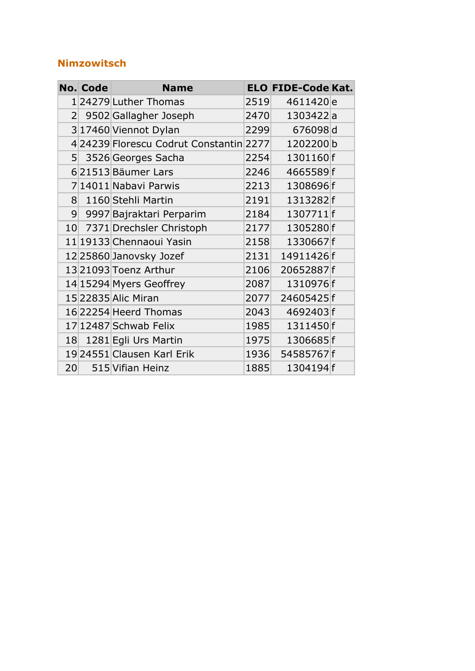#### **Nimzowitsch**

|                 | <b>No. Code</b> | <b>Name</b>                            |      | <b>ELO FIDE-Code Kat.</b> |  |
|-----------------|-----------------|----------------------------------------|------|---------------------------|--|
|                 |                 | 1 24279 Luther Thomas                  | 2519 | 4611420 <sub>e</sub>      |  |
|                 |                 | 2 9502 Gallagher Joseph                | 2470 | 1303422a                  |  |
|                 |                 | 3 17460 Viennot Dylan                  | 2299 | 676098d                   |  |
|                 |                 | 424239 Florescu Codrut Constantin 2277 |      | 1202200b                  |  |
|                 |                 | 5 3526 Georges Sacha                   | 2254 | 1301160f                  |  |
|                 |                 | 621513 Bäumer Lars                     | 2246 | 4665589f                  |  |
|                 |                 | 7 14011 Nabavi Parwis                  | 2213 | 1308696f                  |  |
| 8 <sup>1</sup>  |                 | 1160 Stehli Martin                     | 2191 | 1313282f                  |  |
|                 |                 | 9 9997 Bajraktari Perparim             | 2184 | 1307711 f                 |  |
|                 |                 | 10 7371 Drechsler Christoph            | 2177 | 1305280f                  |  |
|                 |                 | 11 19133 Chennaoui Yasin               | 2158 | 1330667f                  |  |
|                 |                 | 12 25860 Janovsky Jozef                | 2131 | 14911426f                 |  |
|                 |                 | 13 21093 Toenz Arthur                  | 2106 | 20652887f                 |  |
|                 |                 | 14 15294 Myers Geoffrey                | 2087 | 1310976f                  |  |
|                 |                 | 15 22835 Alic Miran                    | 2077 | 24605425f                 |  |
|                 |                 | 16 22254 Heerd Thomas                  | 2043 | 4692403f                  |  |
|                 |                 | 17 12487 Schwab Felix                  | 1985 | 1311450f                  |  |
|                 |                 | 18 1281 Egli Urs Martin                | 1975 | 1306685f                  |  |
|                 |                 | 19 24551 Clausen Karl Erik             | 1936 | 54585767f                 |  |
| 20 <sup>1</sup> |                 | 515 Vifian Heinz                       | 1885 | 1304194f                  |  |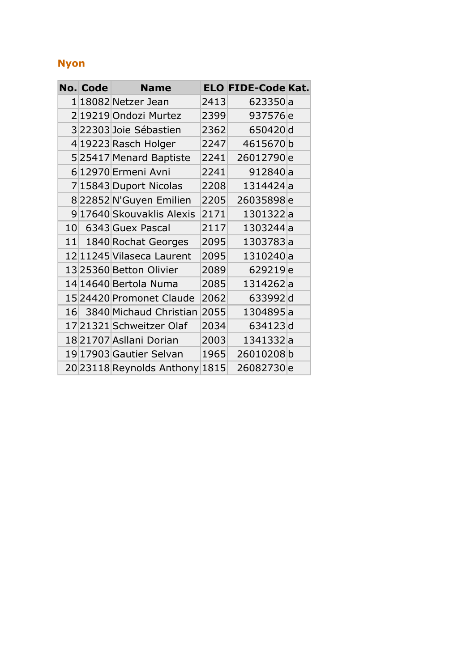#### **Nyon**

| No. Code | <b>Name</b>               |      | <b>ELO FIDE-Code Kat.</b> |  |
|----------|---------------------------|------|---------------------------|--|
|          | 1 18082 Netzer Jean       | 2413 | 623350 a                  |  |
|          | 219219 Ondozi Murtez      | 2399 | 937576 <sub>e</sub>       |  |
|          | 322303 Joie Sébastien     | 2362 | 650420d                   |  |
|          | 4 19223 Rasch Holger      | 2247 | 4615670b                  |  |
|          | 525417 Menard Baptiste    | 2241 | 26012790 <sub>e</sub>     |  |
|          | 6 12970 Ermeni Avni       | 2241 | 912840 a                  |  |
|          | 7 15843 Duport Nicolas    | 2208 | 1314424a                  |  |
|          | 8 22852 N'Guyen Emilien   | 2205 | 26035898e                 |  |
|          | 9 17640 Skouvaklis Alexis | 2171 | 1301322a                  |  |
|          | 10 6343 Guex Pascal       | 2117 | 1303244a                  |  |
|          | 11 1840 Rochat Georges    | 2095 | 1303783a                  |  |
|          | 12 11245 Vilaseca Laurent | 2095 | 1310240a                  |  |
|          | 13 25360 Betton Olivier   | 2089 | 629219 <sub>e</sub>       |  |
|          | 14 14 640 Bertola Numa    | 2085 | 1314262a                  |  |
|          | 15 24420 Promonet Claude  | 2062 | 633992d                   |  |
|          | 16 3840 Michaud Christian | 2055 | 1304895a                  |  |
|          | 17 21321 Schweitzer Olaf  | 2034 | 634123d                   |  |
|          | 18 21707 Asllani Dorian   | 2003 | 1341332a                  |  |
|          | 19 17903 Gautier Selvan   | 1965 | 26010208b                 |  |
|          | 20 23118 Reynolds Anthony | 1815 | 26082730 <sub>e</sub>     |  |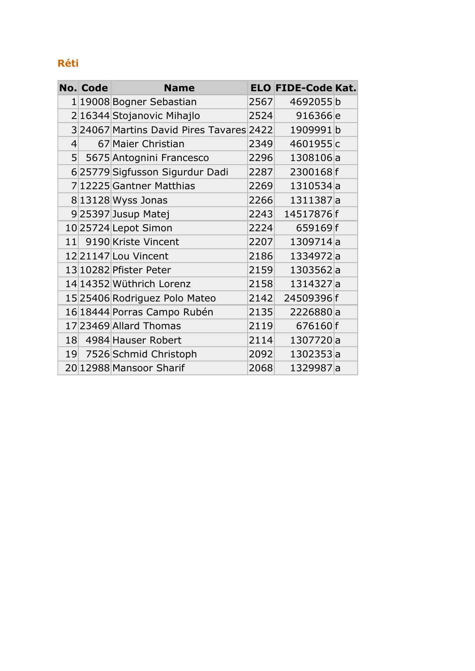#### **Réti**

|                | <b>No. Code</b> | <b>Name</b>                             |      | <b>ELO FIDE-Code Kat.</b> |  |
|----------------|-----------------|-----------------------------------------|------|---------------------------|--|
|                |                 | 1 19008 Bogner Sebastian                | 2567 | 4692055b                  |  |
|                |                 | 2 16344 Stojanovic Mihajlo              | 2524 | 916366 <sub>e</sub>       |  |
|                |                 | 324067 Martins David Pires Tavares 2422 |      | 1909991b                  |  |
| $\overline{4}$ |                 | 67 Maier Christian                      | 2349 | 4601955c                  |  |
|                |                 | 5 5675 Antognini Francesco              | 2296 | 1308106a                  |  |
|                |                 | 6 25779 Sigfusson Sigurdur Dadi         | 2287 | 2300168f                  |  |
|                |                 | 7 12225 Gantner Matthias                | 2269 | 1310534a                  |  |
|                |                 | 813128 Wyss Jonas                       | 2266 | 1311387a                  |  |
|                |                 | 925397 Jusup Matej                      | 2243 | 14517876f                 |  |
|                |                 | 10 25724 Lepot Simon                    | 2224 | 659169f                   |  |
| 11             |                 | 9190 Kriste Vincent                     | 2207 | 1309714a                  |  |
|                |                 | 1221147 Lou Vincent                     | 2186 | 1334972a                  |  |
|                |                 | 13 10282 Pfister Peter                  | 2159 | 1303562a                  |  |
|                |                 | 14 14352 Wüthrich Lorenz                | 2158 | 1314327a                  |  |
|                |                 | 15 25406 Rodriguez Polo Mateo           | 2142 | 24509396f                 |  |
|                |                 | 16 18444 Porras Campo Rubén             | 2135 | 2226880a                  |  |
|                |                 | 17 23469 Allard Thomas                  | 2119 | 676160 f                  |  |
|                |                 | 18 4984 Hauser Robert                   | 2114 | 1307720a                  |  |
|                |                 | 19 7526 Schmid Christoph                | 2092 | 1302353a                  |  |
|                |                 | 20 12988 Mansoor Sharif                 | 2068 | 1329987a                  |  |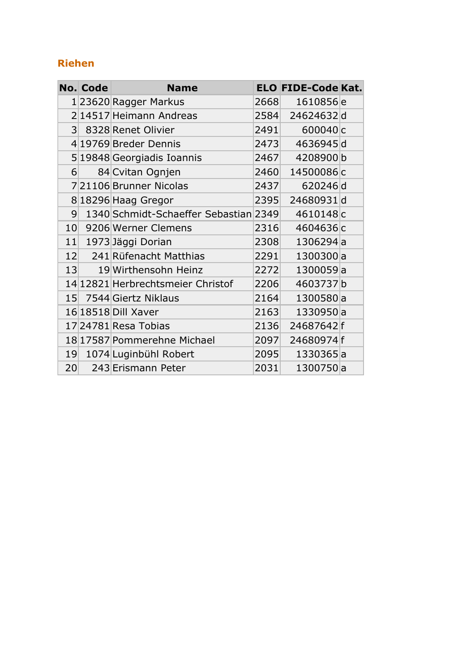#### **Riehen**

|                 | <b>No. Code</b> | <b>Name</b>                           |      | <b>ELO FIDE-Code Kat.</b> |  |
|-----------------|-----------------|---------------------------------------|------|---------------------------|--|
|                 |                 | 123620 Ragger Markus                  | 2668 | 1610856 <sub>e</sub>      |  |
|                 |                 | 2 14517 Heimann Andreas               | 2584 | 24624632d                 |  |
|                 |                 | 3 8328 Renet Olivier                  | 2491 | 600040 <sub>c</sub>       |  |
|                 |                 | 4 19769 Breder Dennis                 | 2473 | 4636945d                  |  |
|                 |                 | 5 19848 Georgiadis Ioannis            | 2467 | 4208900b                  |  |
| $6 \mid$        |                 | 84 Cvitan Ognjen                      | 2460 | 14500086c                 |  |
|                 |                 | 721106 Brunner Nicolas                | 2437 | 620246d                   |  |
|                 |                 | 8 18296 Haag Gregor                   | 2395 | 24680931d                 |  |
| $\overline{9}$  |                 | 1340 Schmidt-Schaeffer Sebastian 2349 |      | 4610148c                  |  |
|                 |                 | 10 9206 Werner Clemens                | 2316 | 4604636c                  |  |
| 11              |                 | 1973 Jäggi Dorian                     | 2308 | 1306294a                  |  |
|                 |                 | 12 241 Rüfenacht Matthias             | 2291 | 1300300a                  |  |
|                 | 13              | 19 Wirthensohn Heinz                  | 2272 | 1300059a                  |  |
|                 |                 | 14 12821 Herbrechtsmeier Christof     | 2206 | 4603737b                  |  |
| 15 <sup>l</sup> |                 | 7544 Giertz Niklaus                   | 2164 | 1300580a                  |  |
|                 |                 | 16 18518 Dill Xaver                   | 2163 | 1330950a                  |  |
|                 |                 | 17 24781 Resa Tobias                  | 2136 | 24687642f                 |  |
|                 |                 | 18 17587 Pommerehne Michael           | 2097 | 24680974f                 |  |
| 19              |                 | 1074 Luginbühl Robert                 | 2095 | 1330365a                  |  |
| 20              |                 | 243 Erismann Peter                    | 2031 | 1300750a                  |  |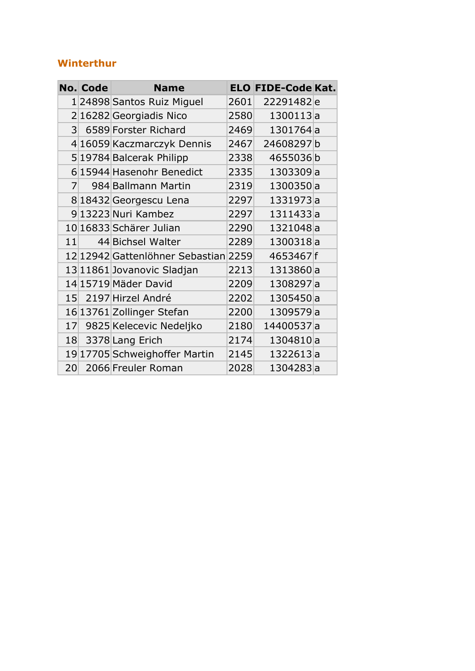#### **Winterthur**

|                 | <b>No. Code</b> | <b>Name</b>                          |      | <b>ELO FIDE-Code Kat.</b> |  |
|-----------------|-----------------|--------------------------------------|------|---------------------------|--|
|                 |                 | 1 24898  Santos Ruiz Miguel          | 2601 | 22291482e                 |  |
|                 |                 | 2 16282 Georgiadis Nico              | 2580 | 1300113a                  |  |
| 3 <sup>1</sup>  |                 | 6589 Forster Richard                 | 2469 | 1301764a                  |  |
|                 |                 | 4 16059 Kaczmarczyk Dennis           | 2467 | 24608297b                 |  |
|                 |                 | 5 19784 Balcerak Philipp             | 2338 | 4655036b                  |  |
|                 |                 | 6 15944 Hasenohr Benedict            | 2335 | 1303309a                  |  |
| $\overline{7}$  |                 | 984 Ballmann Martin                  | 2319 | 1300350a                  |  |
|                 |                 | 8 18432 Georgescu Lena               | 2297 | 1331973a                  |  |
|                 |                 | 9 13223 Nuri Kambez                  | 2297 | 1311433a                  |  |
|                 |                 | 10 16833 Schärer Julian              | 2290 | 1321048a                  |  |
| 11              |                 | 44 Bichsel Walter                    | 2289 | 1300318a                  |  |
|                 |                 | 12 12942 Gattenlöhner Sebastian 2259 |      | 4653467f                  |  |
|                 |                 | 13 11861 Jovanovic Sladjan           | 2213 | 1313860a                  |  |
|                 |                 | 14 15719 Mäder David                 | 2209 | 1308297a                  |  |
|                 |                 | 15 2197 Hirzel André                 | 2202 | 1305450a                  |  |
|                 |                 | 16 13761 Zollinger Stefan            | 2200 | 1309579a                  |  |
| 17              |                 | 9825 Kelecevic Nedeljko              | 2180 | 14400537a                 |  |
|                 |                 | 18 3378 Lang Erich                   | 2174 | 1304810a                  |  |
|                 |                 | 19 17705 Schweighoffer Martin        | 2145 | 1322613a                  |  |
| 20 <sup>°</sup> |                 | 2066 Freuler Roman                   | 2028 | 1304283a                  |  |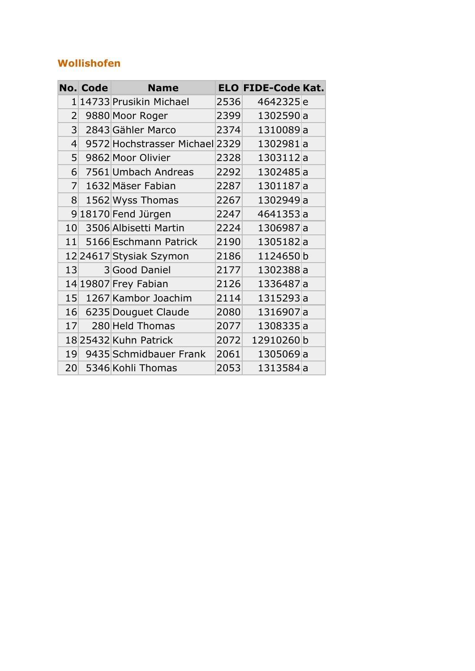#### **Wollishofen**

|                         | <b>No. Code</b> | <b>Name</b>                    |      | <b>ELO FIDE-Code Kat.</b> |  |
|-------------------------|-----------------|--------------------------------|------|---------------------------|--|
| $\mathbf{1}$            |                 | 14733 Prusikin Michael         | 2536 | 4642325e                  |  |
| $\overline{2}$          |                 | 9880 Moor Roger                | 2399 | 1302590a                  |  |
| $\overline{\mathsf{3}}$ |                 | 2843 Gähler Marco              | 2374 | 1310089a                  |  |
| $\left 4\right $        |                 | 9572 Hochstrasser Michael 2329 |      | 1302981a                  |  |
| 5 <sup>1</sup>          |                 | 9862 Moor Olivier              | 2328 | 1303112a                  |  |
| 6                       |                 | 7561 Umbach Andreas            | 2292 | 1302485a                  |  |
| $\overline{7}$          |                 | 1632 Mäser Fabian              | 2287 | 1301187a                  |  |
| 8 <sup>1</sup>          |                 | 1562 Wyss Thomas               | 2267 | 1302949a                  |  |
|                         |                 | 918170 Fend Jürgen             | 2247 | 4641353a                  |  |
| 10                      |                 | 3506 Albisetti Martin          | 2224 | 1306987a                  |  |
| 11                      |                 | 5166 Eschmann Patrick          | 2190 | 1305182a                  |  |
|                         |                 | 12 24617 Stysiak Szymon        | 2186 | 1124650b                  |  |
| 13                      |                 | 3 Good Daniel                  | 2177 | 1302388a                  |  |
|                         |                 | 14 19807 Frey Fabian           | 2126 | 1336487a                  |  |
| 15                      |                 | 1267 Kambor Joachim            | 2114 | 1315293a                  |  |
|                         |                 | 16 6235 Douguet Claude         | 2080 | 1316907a                  |  |
| 17                      |                 | 280 Held Thomas                | 2077 | 1308335a                  |  |
|                         |                 | 18 25432 Kuhn Patrick          | 2072 | 12910260b                 |  |
| 19                      |                 | 9435 Schmidbauer Frank         | 2061 | 1305069a                  |  |
| 20 <sup>°</sup>         |                 | 5346 Kohli Thomas              | 2053 | 1313584a                  |  |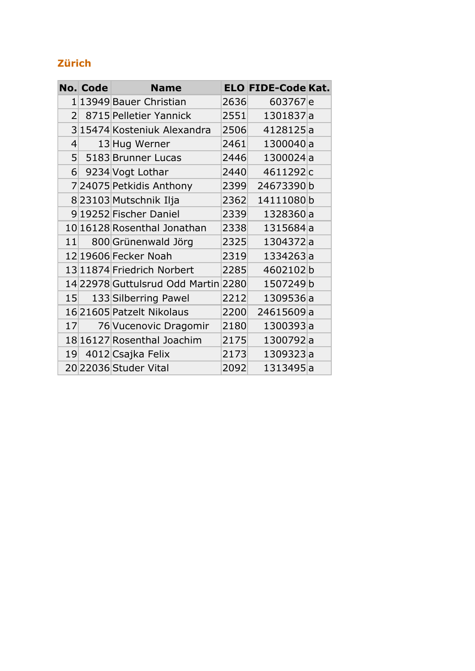#### **Zürich**

|                    | No. Code | <b>Name</b>                         |      | <b>ELO FIDE-Code Kat.</b> |  |
|--------------------|----------|-------------------------------------|------|---------------------------|--|
|                    |          | 1 13949 Bauer Christian             | 2636 | 603767e                   |  |
| 2 <sup>1</sup>     |          | 8715 Pelletier Yannick              | 2551 | 1301837a                  |  |
|                    |          | 3 15474 Kosteniuk Alexandra         | 2506 | 4128125a                  |  |
| $\left  4 \right $ |          | 13 Hug Werner                       | 2461 | 1300040a                  |  |
| 5 <sup>1</sup>     |          | 5183 Brunner Lucas                  | 2446 | 1300024a                  |  |
|                    |          | 6 9234 Vogt Lothar                  | 2440 | 4611292c                  |  |
|                    |          | 724075 Petkidis Anthony             | 2399 | 24673390b                 |  |
|                    |          | 8 23103 Mutschnik Ilja              | 2362 | 14111080b                 |  |
|                    |          | 9 19252 Fischer Daniel              | 2339 | 1328360a                  |  |
|                    |          | 10 16128 Rosenthal Jonathan         | 2338 | 1315684a                  |  |
| 11                 |          | 800 Grünenwald Jörg                 | 2325 | 1304372a                  |  |
|                    |          | 12 19606 Fecker Noah                | 2319 | 1334263a                  |  |
|                    |          | 13 11874 Friedrich Norbert          | 2285 | 4602102b                  |  |
|                    |          | 14 22978 Guttulsrud Odd Martin 2280 |      | 1507249b                  |  |
|                    | 15       | 133 Silberring Pawel                | 2212 | 1309536a                  |  |
|                    |          | 16 21605 Patzelt Nikolaus           | 2200 | 24615609a                 |  |
| 17                 |          | 76 Vucenovic Dragomir               | 2180 | 1300393a                  |  |
|                    |          | 18 16127 Rosenthal Joachim          | 2175 | 1300792a                  |  |
| 19 <sup>°</sup>    |          | 4012 Csajka Felix                   | 2173 | 1309323a                  |  |
|                    |          | 2022036 Studer Vital                | 2092 | 1313495a                  |  |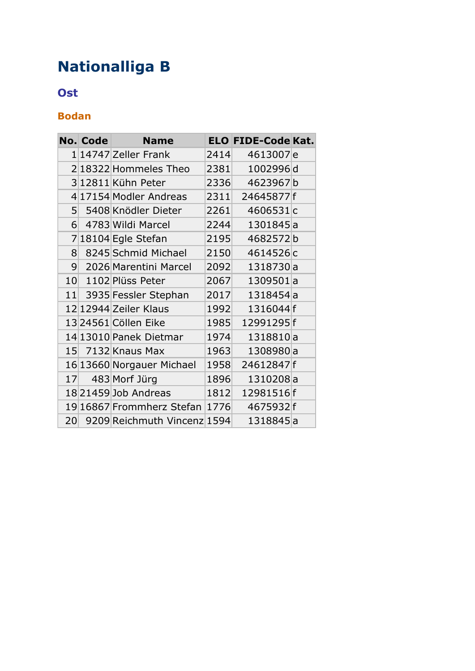## **Nationalliga B**

#### **Ost**

#### **Bodan**

|                | <b>No. Code</b> | <b>Name</b>                    |      | <b>ELO FIDE-Code Kat.</b> |  |
|----------------|-----------------|--------------------------------|------|---------------------------|--|
|                |                 | 1 14747 Zeller Frank           | 2414 | 4613007e                  |  |
|                |                 | 218322 Hommeles Theo           | 2381 | 1002996d                  |  |
|                |                 | 312811 Kühn Peter              | 2336 | 4623967b                  |  |
|                |                 | 4 17154 Modler Andreas         |      | 2311 24645877 f           |  |
| 5 <sup>1</sup> |                 | 5408 Knödler Dieter            | 2261 | 4606531c                  |  |
| $6 \vert$      |                 | 4783 Wildi Marcel              | 2244 | 1301845a                  |  |
|                |                 | 718104 Egle Stefan             | 2195 | 4682572b                  |  |
| 8              |                 | 8245 Schmid Michael            | 2150 | 4614526c                  |  |
| 9              |                 | 2026 Marentini Marcel          | 2092 | 1318730a                  |  |
|                |                 | 10 1102 Plüss Peter            | 2067 | 1309501a                  |  |
|                |                 | 11 3935 Fessler Stephan        | 2017 | 1318454a                  |  |
|                |                 | 12 12944 Zeiler Klaus          | 1992 | 1316044f                  |  |
|                |                 | 1324561 Cöllen Eike            | 1985 | 12991295f                 |  |
|                |                 | 14 13010 Panek Dietmar         | 1974 | 1318810a                  |  |
|                |                 | 15 7132 Knaus Max              | 1963 | 1308980a                  |  |
|                |                 | 16 13660 Norgauer Michael      | 1958 | 24612847f                 |  |
| 17             |                 | 483 Morf Jürg                  | 1896 | 1310208a                  |  |
|                |                 | 18 21459 Job Andreas           | 1812 | 12981516f                 |  |
|                |                 | 19 16867 Frommherz Stefan 1776 |      | 4675932f                  |  |
| 20             |                 | 9209 Reichmuth Vincenz 1594    |      | 1318845a                  |  |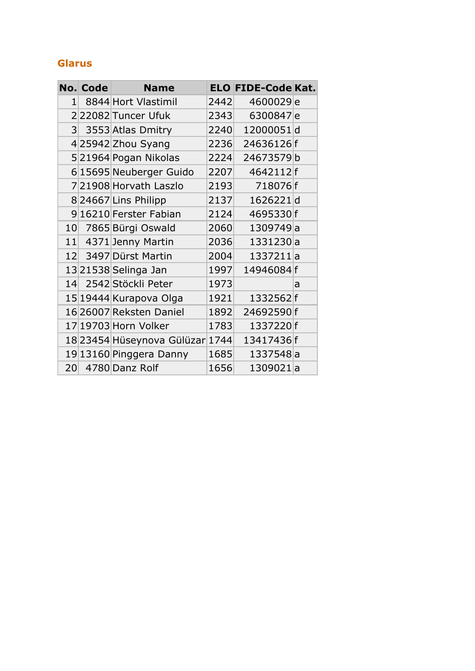#### **Glarus**

|                 | <b>No. Code</b> | <b>Name</b>                |      | <b>ELO FIDE-Code Kat.</b> |   |
|-----------------|-----------------|----------------------------|------|---------------------------|---|
| 1 <sup>1</sup>  |                 | 8844 Hort Vlastimil        | 2442 | 4600029e                  |   |
|                 |                 | 222082 Tuncer Ufuk         | 2343 | 6300847e                  |   |
|                 |                 | 3 3553 Atlas Dmitry        | 2240 | 12000051d                 |   |
|                 |                 | 425942 Zhou Syang          | 2236 | 24636126f                 |   |
|                 |                 | 521964 Pogan Nikolas       | 2224 | 24673579b                 |   |
|                 |                 | 6 15695 Neuberger Guido    | 2207 | 4642112f                  |   |
|                 |                 | 721908 Horvath Laszlo      | 2193 | 718076f                   |   |
|                 |                 | 824667 Lins Philipp        | 2137 | 1626221d                  |   |
|                 |                 | 9 16210 Ferster Fabian     | 2124 | 4695330f                  |   |
|                 |                 | 10 7865 Bürgi Oswald       | 2060 | 1309749a                  |   |
|                 |                 | 11 4371 Jenny Martin       | 2036 | 1331230 a                 |   |
|                 |                 | 12 3497 Dürst Martin       | 2004 | 1337211a                  |   |
|                 |                 | 1321538 Selinga Jan        | 1997 | 14946084f                 |   |
|                 |                 | 14 2542 Stöckli Peter      | 1973 |                           | a |
|                 |                 | 15 19444 Kurapova Olga     | 1921 | 1332562f                  |   |
|                 |                 | 16 26007 Reksten Daniel    | 1892 | 24692590f                 |   |
|                 |                 | 17 19703 Horn Volker       | 1783 | 1337220f                  |   |
|                 |                 | 18 23454 Hüseynova Gülüzar | 1744 | 13417436f                 |   |
|                 |                 | 19 13160 Pinggera Danny    | 1685 | 1337548a                  |   |
| 20 <sub>l</sub> |                 | 4780 Danz Rolf             | 1656 | 1309021a                  |   |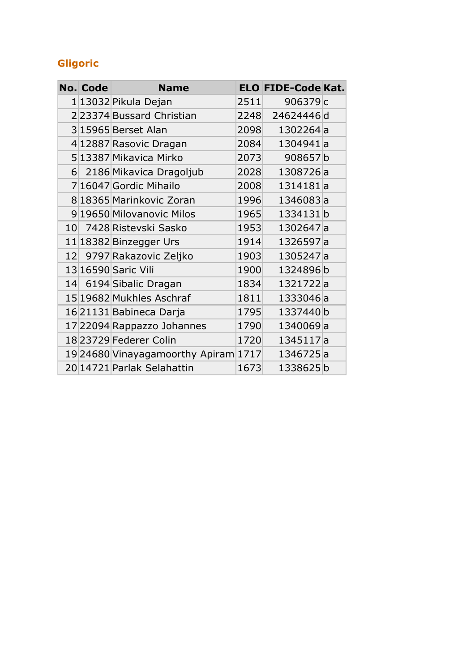#### **Gligoric**

|          | <b>No. Code</b> | <b>Name</b>                     |      | <b>ELO FIDE-Code Kat.</b> |  |
|----------|-----------------|---------------------------------|------|---------------------------|--|
|          |                 | 1 13032 Pikula Dejan            | 2511 | 906379c                   |  |
|          |                 | 223374 Bussard Christian        | 2248 | 24624446d                 |  |
|          |                 | 3 15965 Berset Alan             | 2098 | 1302264a                  |  |
|          |                 | 4 12887 Rasovic Dragan          | 2084 | 1304941a                  |  |
|          |                 | 5 13387 Mikavica Mirko          | 2073 | 908657b                   |  |
| $6 \mid$ |                 | 2186 Mikavica Dragoljub         | 2028 | 1308726a                  |  |
|          |                 | 7 16047 Gordic Mihailo          | 2008 | 1314181a                  |  |
|          |                 | 8 18365 Marinkovic Zoran        | 1996 | 1346083a                  |  |
|          |                 | 9 19650 Milovanovic Milos       | 1965 | 1334131b                  |  |
|          |                 | 10 7428 Ristevski Sasko         | 1953 | 1302647a                  |  |
|          |                 | 11 18382 Binzegger Urs          | 1914 | 1326597a                  |  |
|          |                 | 12 9797 Rakazovic Zeljko        | 1903 | 1305247a                  |  |
|          |                 | 13 16590 Saric Vili             | 1900 | 1324896b                  |  |
|          |                 | 14 6194 Sibalic Dragan          | 1834 | 1321722a                  |  |
|          |                 | 15 19682 Mukhles Aschraf        | 1811 | 1333046a                  |  |
|          |                 | 16 21131 Babineca Darja         | 1795 | 1337440b                  |  |
|          |                 | 17 22094 Rappazzo Johannes      | 1790 | 1340069a                  |  |
|          |                 | 18 23729 Federer Colin          | 1720 | 1345117a                  |  |
|          |                 | 19 24680 Vinayagamoorthy Apiram | 1717 | 1346725a                  |  |
|          |                 | 20 14721 Parlak Selahattin      | 1673 | 1338625b                  |  |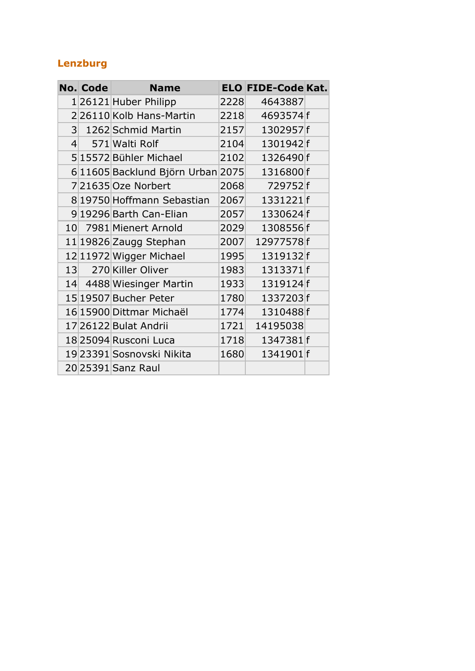#### **Lenzburg**

|                    | No. Code | <b>Name</b>                      |      | <b>ELO FIDE-Code Kat.</b> |  |
|--------------------|----------|----------------------------------|------|---------------------------|--|
|                    |          | 126121 Huber Philipp             | 2228 | 4643887                   |  |
|                    |          | 226110 Kolb Hans-Martin          | 2218 | 4693574f                  |  |
|                    |          | 3 1262 Schmid Martin             | 2157 | 1302957f                  |  |
| $\left  4 \right $ |          | 571 Walti Rolf                   | 2104 | 1301942f                  |  |
|                    |          | 515572 Bühler Michael            | 2102 | 1326490f                  |  |
|                    |          | 611605 Backlund Björn Urban 2075 |      | 1316800f                  |  |
|                    |          | 721635 Oze Norbert               | 2068 | 729752f                   |  |
|                    |          | 8 19750 Hoffmann Sebastian       | 2067 | 1331221f                  |  |
|                    |          | 9 19296 Barth Can-Elian          | 2057 | 1330624f                  |  |
|                    |          | 10 7981 Mienert Arnold           | 2029 | 1308556f                  |  |
|                    |          | 11 19826 Zaugg Stephan           | 2007 | 12977578f                 |  |
|                    |          | 12 11972 Wigger Michael          | 1995 | 1319132f                  |  |
|                    |          | 13 270 Killer Oliver             | 1983 | 1313371f                  |  |
|                    |          | 14 4488 Wiesinger Martin         | 1933 | 1319124f                  |  |
|                    |          | 15 19507 Bucher Peter            | 1780 | 1337203f                  |  |
|                    |          | 16 15900 Dittmar Michaël         | 1774 | 1310488f                  |  |
|                    |          | 17 26122 Bulat Andrii            | 1721 | 14195038                  |  |
|                    |          | 18 25094 Rusconi Luca            | 1718 | 1347381f                  |  |
|                    |          | 19 23391 Sosnovski Nikita        | 1680 | 1341901f                  |  |
|                    |          | 20 25391 Sanz Raul               |      |                           |  |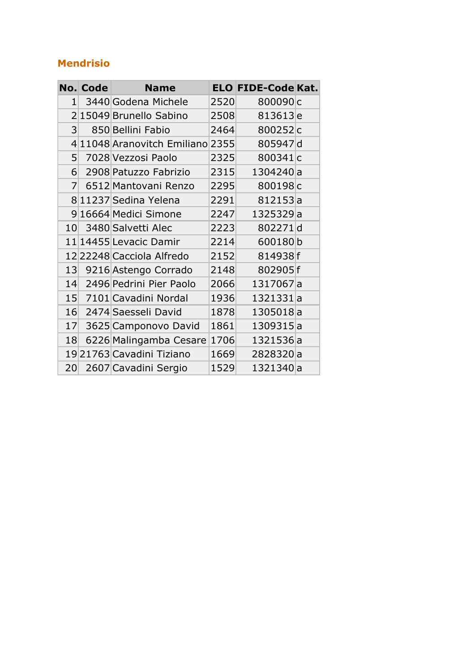#### **Mendrisio**

|                | <b>No. Code</b> | <b>Name</b>                      |      | <b>ELO FIDE-Code Kat.</b> |  |
|----------------|-----------------|----------------------------------|------|---------------------------|--|
| $\mathbf{1}$   |                 | 3440 Godena Michele              | 2520 | 800090c                   |  |
|                |                 | 2 15049 Brunello Sabino          | 2508 | 813613 <sub>e</sub>       |  |
| 3 <sup>1</sup> |                 | 850 Bellini Fabio                | 2464 | 800252c                   |  |
|                |                 | 4 11048 Aranovitch Emiliano 2355 |      | 805947d                   |  |
| 5 <sup>1</sup> |                 | 7028 Vezzosi Paolo               | 2325 | 800341c                   |  |
| 6              |                 | 2908 Patuzzo Fabrizio            | 2315 | 1304240a                  |  |
| $\overline{7}$ |                 | 6512 Mantovani Renzo             | 2295 | 800198c                   |  |
|                |                 | 8 11237 Sedina Yelena            | 2291 | 812153a                   |  |
|                |                 | 9 16664 Medici Simone            | 2247 | 1325329a                  |  |
|                |                 | 10 3480 Salvetti Alec            | 2223 | 802271d                   |  |
|                |                 | 11 14455 Levacic Damir           | 2214 | 600180b                   |  |
|                |                 | 12 22248 Cacciola Alfredo        | 2152 | 814938f                   |  |
|                |                 | 13 9216 Astengo Corrado          | 2148 | 802905f                   |  |
| 14             |                 | 2496 Pedrini Pier Paolo          | 2066 | 1317067a                  |  |
| 15             |                 | 7101 Cavadini Nordal             | 1936 | 1321331a                  |  |
| 16             |                 | 2474 Saesseli David              | 1878 | 1305018a                  |  |
| 17             |                 | 3625 Camponovo David             | 1861 | 1309315a                  |  |
| 18             |                 | 6226 Malingamba Cesare           | 1706 | 1321536a                  |  |
|                |                 | 1921763 Cavadini Tiziano         | 1669 | 2828320a                  |  |
| 20             |                 | 2607 Cavadini Sergio             | 1529 | 1321340a                  |  |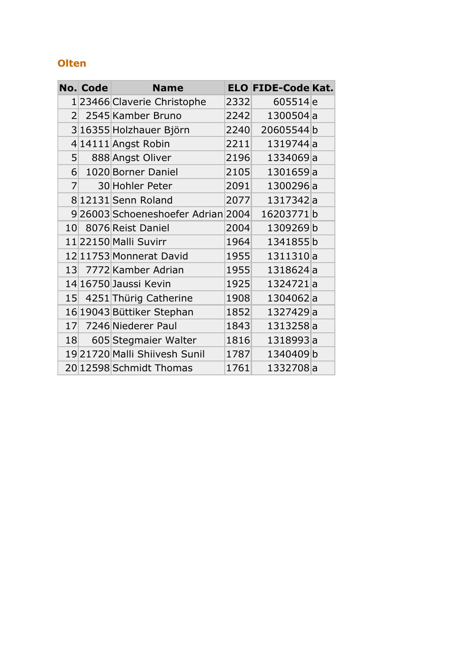#### **Olten**

|                 | <b>No. Code</b> | <b>Name</b>                       |      | <b>ELO FIDE-Code Kat.</b> |  |
|-----------------|-----------------|-----------------------------------|------|---------------------------|--|
|                 |                 | 1 23466 Claverie Christophe       | 2332 | 605514 <sub>e</sub>       |  |
| 2 <sup>1</sup>  |                 | 2545 Kamber Bruno                 | 2242 | 1300504a                  |  |
|                 |                 | 3 16355 Holzhauer Björn           | 2240 | 20605544b                 |  |
|                 |                 | 414111 Angst Robin                | 2211 | 1319744a                  |  |
| 5 <sup>1</sup>  |                 | 888 Angst Oliver                  | 2196 | 1334069a                  |  |
|                 | 6               | 1020 Borner Daniel                | 2105 | 1301659a                  |  |
| 7               |                 | 30 Hohler Peter                   | 2091 | 1300296a                  |  |
|                 |                 | 8 12131 Senn Roland               | 2077 | 1317342a                  |  |
|                 |                 | 926003 Schoeneshoefer Adrian 2004 |      | 16203771b                 |  |
|                 |                 | 10 8076 Reist Daniel              | 2004 | 1309269b                  |  |
|                 |                 | 11 22150 Malli Suvirr             | 1964 | 1341855b                  |  |
|                 |                 | 12 11753 Monnerat David           | 1955 | 1311310a                  |  |
|                 |                 | 13 7772 Kamber Adrian             | 1955 | 1318624a                  |  |
|                 |                 | 14 16750 Jaussi Kevin             | 1925 | 1324721a                  |  |
|                 |                 | 15 4251 Thürig Catherine          | 1908 | 1304062a                  |  |
|                 |                 | 16 19043 Büttiker Stephan         | 1852 | 1327429a                  |  |
| 17 <sup>1</sup> |                 | 7246 Niederer Paul                | 1843 | 1313258a                  |  |
|                 |                 | 18 605 Stegmaier Walter           | 1816 | 1318993a                  |  |
|                 |                 | 19 21720 Malli Shiivesh Sunil     | 1787 | 1340409b                  |  |
|                 |                 | 20 12598 Schmidt Thomas           | 1761 | 1332708a                  |  |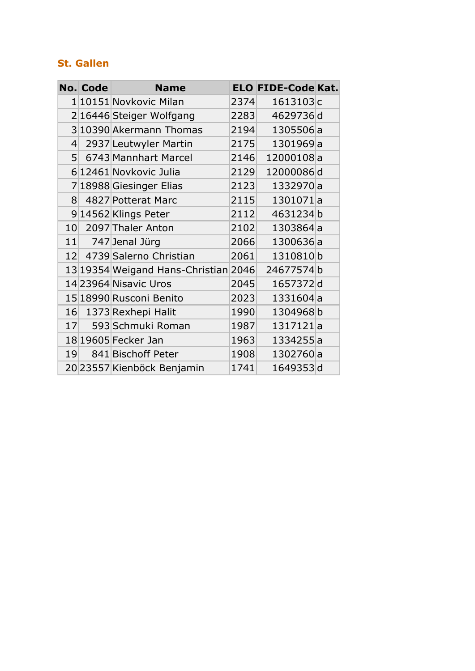#### **St. Gallen**

|                    | No. Code | <b>Name</b>                                     |      | <b>ELO FIDE-Code Kat.</b> |  |
|--------------------|----------|-------------------------------------------------|------|---------------------------|--|
|                    |          | 1 10151 Novkovic Milan                          | 2374 | 1613103c                  |  |
|                    |          | 216446 Steiger Wolfgang                         | 2283 | 4629736d                  |  |
|                    |          | 3 10390 Akermann Thomas                         | 2194 | 1305506a                  |  |
| $\left  4 \right $ |          | 2937 Leutwyler Martin                           | 2175 | 1301969a                  |  |
| 5 <sup>1</sup>     |          | 6743 Mannhart Marcel                            | 2146 | 12000108a                 |  |
|                    |          | 6 12461 Novkovic Julia                          | 2129 | 12000086d                 |  |
|                    |          | 7 18988 Giesinger Elias                         | 2123 | 1332970a                  |  |
| 8 <sup>1</sup>     |          | 4827 Potterat Marc                              | 2115 | 1301071a                  |  |
|                    |          | 914562 Klings Peter                             | 2112 | 4631234b                  |  |
|                    |          | 10 2097 Thaler Anton                            | 2102 | 1303864a                  |  |
|                    |          | $11$ 747 Jenal Jürg                             | 2066 | 1300636a                  |  |
|                    |          | 12 4739 Salerno Christian                       | 2061 | 1310810b                  |  |
|                    |          | 13 19354 Weigand Hans-Christian 2046 24677574 b |      |                           |  |
|                    |          | 14 23964 Nisavic Uros                           | 2045 | 1657372d                  |  |
|                    |          | 15 18990 Rusconi Benito                         | 2023 | 1331604a                  |  |
| 16                 |          | 1373 Rexhepi Halit                              | 1990 | 1304968b                  |  |
| 17                 |          | 593 Schmuki Roman                               | 1987 | 1317121a                  |  |
|                    |          | 18 19605 Fecker Jan                             | 1963 | 1334255a                  |  |
|                    | 19       | 841 Bischoff Peter                              | 1908 | 1302760a                  |  |
|                    |          | 20 23557 Kienböck Benjamin                      | 1741 | 1649353d                  |  |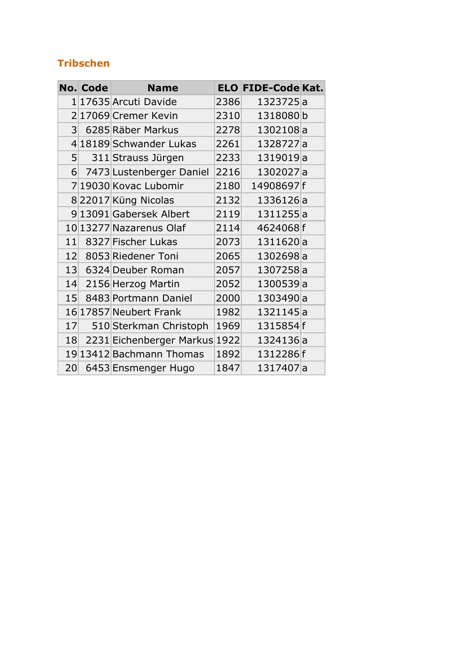#### **Tribschen**

|                | <b>No. Code</b> | <b>Name</b>                |      | <b>ELO FIDE-Code Kat.</b> |  |
|----------------|-----------------|----------------------------|------|---------------------------|--|
|                |                 | 1 17635 Arcuti Davide      | 2386 | 1323725a                  |  |
|                |                 | 217069 Cremer Kevin        | 2310 | 1318080b                  |  |
| 3 <sup>1</sup> |                 | 6285 Räber Markus          | 2278 | 1302108a                  |  |
|                |                 | 4 18189 Schwander Lukas    | 2261 | 1328727a                  |  |
| 5 <sup>1</sup> |                 | 311 Strauss Jürgen         | 2233 | 1319019a                  |  |
|                |                 | 6 7473 Lustenberger Daniel | 2216 | 1302027a                  |  |
|                |                 | 7 19030 Kovac Lubomir      | 2180 | 14908697f                 |  |
|                |                 | 822017 Küng Nicolas        | 2132 | 1336126a                  |  |
|                |                 | 9 13091 Gabersek Albert    | 2119 | 1311255a                  |  |
|                |                 | 10 13277 Nazarenus Olaf    | 2114 | 4624068f                  |  |
| 11             |                 | 8327 Fischer Lukas         | 2073 | 1311620a                  |  |
|                |                 | 12 8053 Riedener Toni      | 2065 | 1302698a                  |  |
| 13             |                 | 6324 Deuber Roman          | 2057 | 1307258a                  |  |
| 14             |                 | 2156 Herzog Martin         | 2052 | 1300539a                  |  |
| 15             |                 | 8483 Portmann Daniel       | 2000 | 1303490a                  |  |
|                |                 | 16 17857 Neubert Frank     | 1982 | 1321145a                  |  |
| 17             |                 | 510 Sterkman Christoph     | 1969 | 1315854f                  |  |
| 18             |                 | 2231 Eichenberger Markus   | 1922 | 1324136a                  |  |
|                |                 | 19 13412 Bachmann Thomas   | 1892 | 1312286f                  |  |
| 20             |                 | 6453 Ensmenger Hugo        | 1847 | 1317407a                  |  |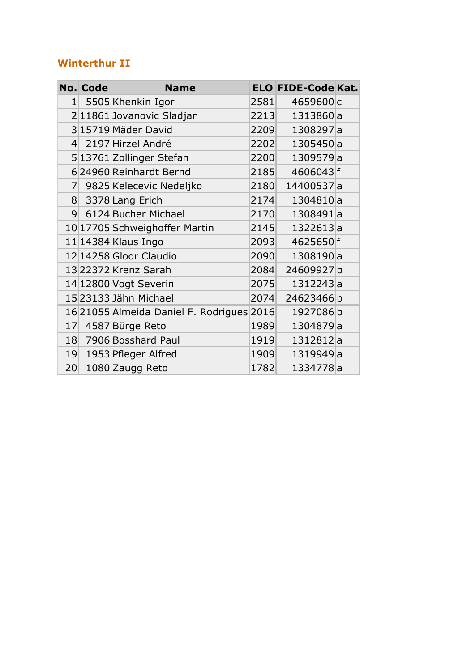#### **Winterthur II**

|                 | <b>No. Code</b> | <b>Name</b>                               |      | <b>ELO FIDE-Code Kat.</b> |  |
|-----------------|-----------------|-------------------------------------------|------|---------------------------|--|
| 1 <sup>1</sup>  |                 | 5505 Khenkin Igor                         | 2581 | 4659600c                  |  |
|                 |                 | 211861 Jovanovic Sladjan                  | 2213 | 1313860a                  |  |
|                 |                 | 315719 Mäder David                        | 2209 | 1308297a                  |  |
| $\vert 4 \vert$ |                 | 2197 Hirzel André                         | 2202 | 1305450a                  |  |
|                 |                 | 5 13761 Zollinger Stefan                  | 2200 | 1309579a                  |  |
|                 |                 | 6 24960 Reinhardt Bernd                   | 2185 | 4606043f                  |  |
|                 |                 | 7 9825 Kelecevic Nedeljko                 | 2180 | 14400537a                 |  |
|                 |                 | 8 3378 Lang Erich                         | 2174 | 1304810a                  |  |
| 9 <sup>1</sup>  |                 | 6124 Bucher Michael                       | 2170 | 1308491a                  |  |
|                 |                 | 10 17705 Schweighoffer Martin             | 2145 | 1322613a                  |  |
|                 |                 | $11 14384 $ Klaus Ingo                    | 2093 | 4625650f                  |  |
|                 |                 | 12 14258 Gloor Claudio                    | 2090 | 1308190a                  |  |
|                 |                 | 13 22372 Krenz Sarah                      | 2084 | 24609927b                 |  |
|                 |                 | 14 12800 Vogt Severin                     | 2075 | 1312243a                  |  |
|                 |                 | 15 23133 Jähn Michael                     | 2074 | 24623466b                 |  |
|                 |                 | 16 21055 Almeida Daniel F. Rodrigues 2016 |      | 1927086b                  |  |
| 17 <sup>°</sup> |                 | 4587 Bürge Reto                           | 1989 | 1304879a                  |  |
|                 |                 | 18 7906 Bosshard Paul                     | 1919 | 1312812a                  |  |
|                 |                 | 19 1953 Pfleger Alfred                    | 1909 | 1319949a                  |  |
| 20              |                 | 1080 Zaugg Reto                           | 1782 | 1334778a                  |  |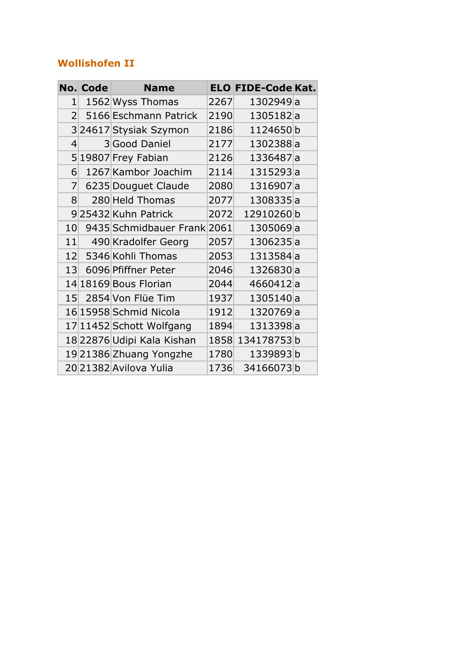#### **Wollishofen II**

|                 | No. Code | <b>Name</b>                 |      | <b>ELO FIDE-Code Kat.</b> |  |
|-----------------|----------|-----------------------------|------|---------------------------|--|
| $\mathbf{1}$    |          | 1562 Wyss Thomas            | 2267 | 1302949a                  |  |
| $\overline{2}$  |          | 5166 Eschmann Patrick       | 2190 | 1305182a                  |  |
|                 |          | 324617 Stysiak Szymon       | 2186 | 1124650b                  |  |
| 4               |          | 3 Good Daniel               | 2177 | 1302388a                  |  |
|                 |          | 519807 Frey Fabian          | 2126 | 1336487a                  |  |
| 6               |          | 1267 Kambor Joachim         | 2114 | 1315293a                  |  |
| $\overline{7}$  |          | 6235 Douguet Claude         | 2080 | 1316907a                  |  |
| 8               |          | 280 Held Thomas             | 2077 | 1308335a                  |  |
|                 |          | 925432 Kuhn Patrick         | 2072 | 12910260b                 |  |
| 10 <sup>1</sup> |          | 9435 Schmidbauer Frank 2061 |      | 1305069a                  |  |
|                 |          | 11 490 Kradolfer Georg      | 2057 | 1306235a                  |  |
|                 |          | 12 5346 Kohli Thomas        | 2053 | 1313584a                  |  |
| 13              |          | 6096 Pfiffner Peter         | 2046 | 1326830a                  |  |
|                 |          | 14 18169 Bous Florian       | 2044 | 4660412a                  |  |
| 15 <sup>°</sup> |          | 2854 Von Flüe Tim           | 1937 | 1305140a                  |  |
|                 |          | 16 15958 Schmid Nicola      | 1912 | 1320769a                  |  |
|                 |          | 17 11452 Schott Wolfgang    | 1894 | 1313398a                  |  |
|                 |          | 18 22876 Udipi Kala Kishan  |      | 1858 134178753b           |  |
|                 |          | 19 21386 Zhuang Yongzhe     | 1780 | 1339893b                  |  |
|                 |          | 2021382 Avilova Yulia       | 1736 | 34166073b                 |  |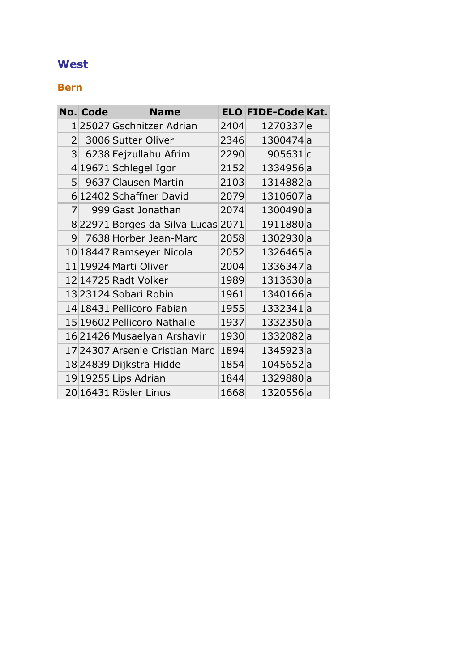#### **West**

#### **Bern**

|                | <b>No. Code</b> | <b>Name</b>                       |      | <b>ELO FIDE-Code Kat.</b> |  |
|----------------|-----------------|-----------------------------------|------|---------------------------|--|
|                |                 | 125027 Gschnitzer Adrian          | 2404 | 1270337 <sub>e</sub>      |  |
| 2 <sup>1</sup> |                 | 3006 Sutter Oliver                | 2346 | 1300474a                  |  |
| 3 <sup>1</sup> |                 | 6238 Fejzullahu Afrim             | 2290 | 905631 <sub>c</sub>       |  |
|                |                 | 4 19671 Schlegel Igor             | 2152 | 1334956a                  |  |
| 5              |                 | 9637 Clausen Martin               | 2103 | 1314882a                  |  |
|                |                 | 612402 Schaffner David            | 2079 | 1310607a                  |  |
| 7 <sup>1</sup> |                 | 999 Gast Jonathan                 | 2074 | 1300490a                  |  |
|                |                 | 822971 Borges da Silva Lucas 2071 |      | 1911880a                  |  |
| 9 <sup>°</sup> |                 | 7638 Horber Jean-Marc             | 2058 | 1302930a                  |  |
|                |                 | 10 18447 Ramseyer Nicola          | 2052 | 1326465a                  |  |
|                |                 | 11 19924 Marti Oliver             | 2004 | 1336347 a                 |  |
|                |                 | 12 14725 Radt Volker              | 1989 | 1313630a                  |  |
|                |                 | 13 23124 Sobari Robin             | 1961 | 1340166a                  |  |
|                |                 | 14 18431 Pellicoro Fabian         | 1955 | 1332341a                  |  |
|                |                 | 15 19602 Pellicoro Nathalie       | 1937 | 1332350a                  |  |
|                |                 | 16 21426 Musaelyan Arshavir       | 1930 | 1332082a                  |  |
|                |                 | 17 24307 Arsenie Cristian Marc    | 1894 | 1345923a                  |  |
|                |                 | 18 24839 Dijkstra Hidde           | 1854 | 1045652a                  |  |
|                |                 | 19 19255 Lips Adrian              | 1844 | 1329880a                  |  |
|                |                 | 20 16431 Rösler Linus             | 1668 | 1320556a                  |  |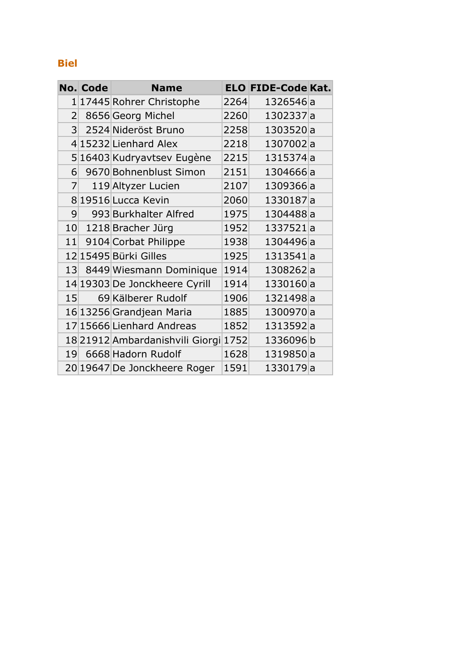#### **Biel**

|                 | <b>No. Code</b> | <b>Name</b>                     |      | <b>ELO FIDE-Code Kat.</b> |  |
|-----------------|-----------------|---------------------------------|------|---------------------------|--|
|                 |                 | 1 17445 Rohrer Christophe       | 2264 | 1326546a                  |  |
| 2 <sup>1</sup>  |                 | 8656 Georg Michel               | 2260 | 1302337a                  |  |
|                 |                 | 3 2524 Nideröst Bruno           | 2258 | 1303520a                  |  |
|                 |                 | 4 15232 Lienhard Alex           | 2218 | 1307002a                  |  |
|                 |                 | 516403 Kudryavtsev Eugène       | 2215 | 1315374a                  |  |
| 6               |                 | 9670 Bohnenblust Simon          | 2151 | 1304666a                  |  |
| 7 <sup>1</sup>  |                 | 119 Altyzer Lucien              | 2107 | 1309366a                  |  |
|                 |                 | 8 19516 Lucca Kevin             | 2060 | 1330187a                  |  |
| 9 <sub>l</sub>  |                 | 993 Burkhalter Alfred           | 1975 | 1304488a                  |  |
|                 |                 | 10 1218 Bracher Jürg            | 1952 | 1337521a                  |  |
| 11              |                 | 9104 Corbat Philippe            | 1938 | 1304496a                  |  |
|                 |                 | 12 15495 Bürki Gilles           | 1925 | 1313541a                  |  |
| 13 <sup>°</sup> |                 | 8449 Wiesmann Dominique         | 1914 | 1308262a                  |  |
|                 |                 | 14 19303 De Jonckheere Cyrill   | 1914 | 1330160a                  |  |
| 15 <sup>1</sup> |                 | 69 Kälberer Rudolf              | 1906 | 1321498a                  |  |
|                 |                 | 16 13256 Grandjean Maria        | 1885 | 1300970a                  |  |
|                 |                 | 17 15666 Lienhard Andreas       | 1852 | 1313592a                  |  |
|                 |                 | 18 21912 Ambardanishvili Giorgi | 1752 | 1336096b                  |  |
|                 |                 | 19 6668 Hadorn Rudolf           | 1628 | 1319850a                  |  |
|                 |                 | 20 19647 De Jonckheere Roger    | 1591 | 1330179a                  |  |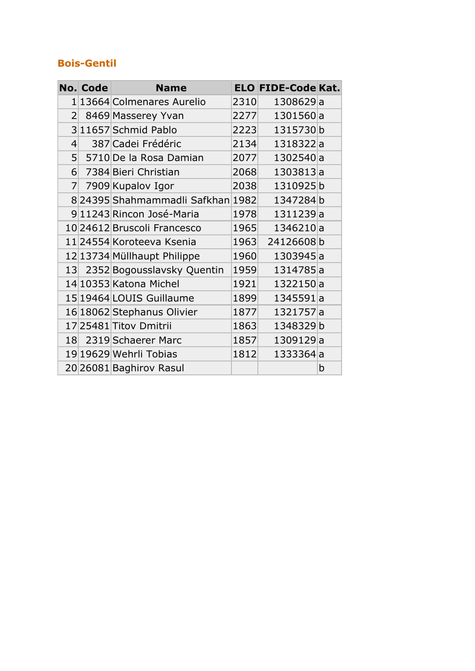#### **Bois-Gentil**

|                | No. Code | <b>Name</b>                      |      | <b>ELO FIDE-Code Kat.</b> |   |
|----------------|----------|----------------------------------|------|---------------------------|---|
|                |          | 1 13664  Colmenares Aurelio      | 2310 | 1308629a                  |   |
| $\overline{2}$ |          | 8469 Masserey Yvan               | 2277 | 1301560a                  |   |
|                |          | 3 11657 Schmid Pablo             | 2223 | 1315730b                  |   |
| $\overline{4}$ |          | 387 Cadei Frédéric               | 2134 | 1318322a                  |   |
|                |          | 5 5710 De la Rosa Damian         | 2077 | 1302540a                  |   |
|                |          | 6 7384 Bieri Christian           | 2068 | 1303813a                  |   |
|                |          | 7 7909 Kupalov Igor              | 2038 | 1310925b                  |   |
|                |          | 824395 Shahmammadli Safkhan 1982 |      | 1347284b                  |   |
|                |          | 9 11243 Rincon José-Maria        | 1978 | 1311239a                  |   |
|                |          | 10 24612 Bruscoli Francesco      | 1965 | 1346210a                  |   |
|                |          | 11 24554 Koroteeva Ksenia        | 1963 | 24126608b                 |   |
|                |          | 12 13734 Müllhaupt Philippe      | 1960 | 1303945a                  |   |
|                |          | 13 2352 Bogousslavsky Quentin    | 1959 | 1314785a                  |   |
|                |          | 14 10353 Katona Michel           | 1921 | 1322150a                  |   |
|                |          | 15 19464 LOUIS Guillaume         | 1899 | 1345591a                  |   |
|                |          | 16 18062 Stephanus Olivier       | 1877 | 1321757a                  |   |
|                |          | 17 25481 Titov Dmitrii           | 1863 | 1348329b                  |   |
|                |          | 18 2319 Schaerer Marc            | 1857 | 1309129a                  |   |
|                |          | 19 19629 Wehrli Tobias           | 1812 | 1333364a                  |   |
|                |          | 20 26081 Baghirov Rasul          |      |                           | b |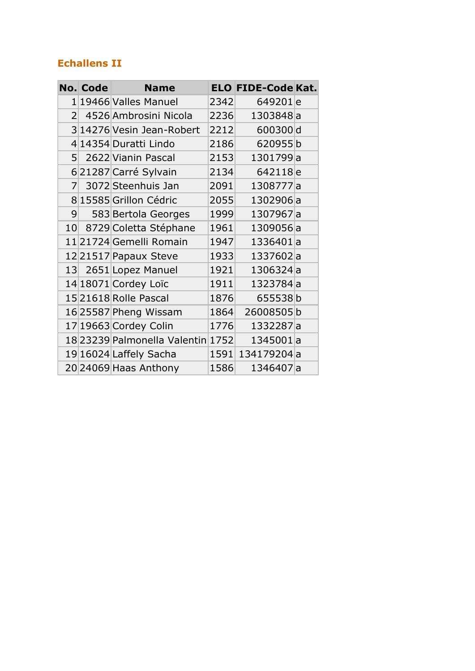#### **Echallens II**

|                | <b>No. Code</b> | <b>Name</b>                       |      | <b>ELO FIDE-Code Kat.</b> |  |
|----------------|-----------------|-----------------------------------|------|---------------------------|--|
|                |                 | 1 19466 Valles Manuel             | 2342 | 649201 <sub>e</sub>       |  |
| $\overline{2}$ |                 | 4526 Ambrosini Nicola             | 2236 | 1303848a                  |  |
|                |                 | 3 14276 Vesin Jean-Robert         | 2212 | 600300d                   |  |
|                |                 | 4 14354 Duratti Lindo             | 2186 | 620955b                   |  |
|                |                 | 5 2622 Vianin Pascal              | 2153 | 1301799a                  |  |
|                |                 | 621287 Carré Sylvain              | 2134 | 642118 <sub>e</sub>       |  |
| $\overline{7}$ |                 | 3072 Steenhuis Jan                | 2091 | 1308777a                  |  |
|                |                 | 8 15585 Grillon Cédric            | 2055 | 1302906a                  |  |
| 9 <sup>°</sup> |                 | 583 Bertola Georges               | 1999 | 1307967a                  |  |
|                |                 | 10 8729 Coletta Stéphane          | 1961 | 1309056a                  |  |
|                |                 | 11 21724 Gemelli Romain           | 1947 | 1336401a                  |  |
|                |                 | 12 21517 Papaux Steve             | 1933 | 1337602a                  |  |
|                |                 | 13 2651 Lopez Manuel              | 1921 | 1306324a                  |  |
|                |                 | 14 18071 Cordey Loïc              | 1911 | 1323784a                  |  |
|                |                 | 15 21618 Rolle Pascal             | 1876 | 655538b                   |  |
|                |                 | 16 25587 Pheng Wissam             | 1864 | 26008505b                 |  |
|                |                 | 17 19663 Cordey Colin             | 1776 | 1332287a                  |  |
|                |                 | 18 23239 Palmonella Valentin 1752 |      | 1345001a                  |  |
|                |                 | 19 16024 Laffely Sacha            | 1591 | 134179204a                |  |
|                |                 | 20 24069 Haas Anthony             | 1586 | 1346407a                  |  |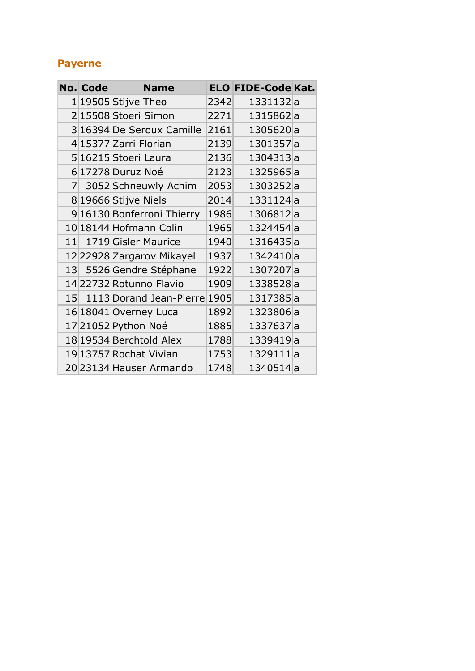#### **Payerne**

|                 | <b>No. Code</b> | <b>Name</b>                |      | <b>ELO FIDE-Code Kat.</b> |  |
|-----------------|-----------------|----------------------------|------|---------------------------|--|
|                 |                 | $1 19505 $ Stijve Theo     | 2342 | 1331132a                  |  |
|                 |                 | 215508 Stoeri Simon        | 2271 | 1315862a                  |  |
|                 |                 | 3 16394 De Seroux Camille  | 2161 | 1305620a                  |  |
|                 |                 | 4 15377 Zarri Florian      | 2139 | 1301357a                  |  |
|                 |                 | 5 16215 Stoeri Laura       | 2136 | 1304313a                  |  |
|                 |                 | 6 17278 Duruz Noé          | 2123 | 1325965a                  |  |
| 7               |                 | 3052 Schneuwly Achim       | 2053 | 1303252a                  |  |
|                 |                 | 8 19666 Stijve Niels       | 2014 | 1331124a                  |  |
|                 |                 | 9 16130 Bonferroni Thierry | 1986 | 1306812a                  |  |
|                 |                 | 10 18144 Hofmann Colin     | 1965 | 1324454a                  |  |
|                 |                 | 11 1719 Gisler Maurice     | 1940 | 1316435a                  |  |
|                 |                 | 12 22928 Zargarov Mikayel  | 1937 | 1342410a                  |  |
|                 |                 | 13 5526 Gendre Stéphane    | 1922 | 1307207a                  |  |
|                 |                 | 14 22732 Rotunno Flavio    | 1909 | 1338528a                  |  |
| 15 <sup>1</sup> |                 | 1113 Dorand Jean-Pierre    | 1905 | 1317385a                  |  |
|                 |                 | 16 18041 Overney Luca      | 1892 | 1323806a                  |  |
|                 |                 | 1721052 Python Noé         | 1885 | 1337637a                  |  |
|                 |                 | 18 19534 Berchtold Alex    | 1788 | 1339419 <sub>a</sub>      |  |
|                 |                 | 19 13757 Rochat Vivian     | 1753 | 1329111a                  |  |
|                 |                 | 20 23134 Hauser Armando    | 1748 | 1340514a                  |  |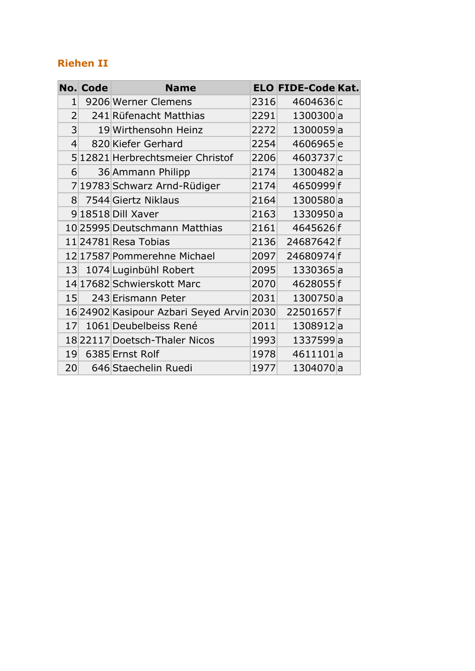#### **Riehen II**

|                 | <b>No. Code</b> | <b>Name</b>                               |      | <b>ELO FIDE-Code Kat.</b> |  |
|-----------------|-----------------|-------------------------------------------|------|---------------------------|--|
| $\mathbf{1}$    |                 | 9206 Werner Clemens                       | 2316 | 4604636c                  |  |
| $\overline{2}$  |                 | 241 Rüfenacht Matthias                    | 2291 | 1300300a                  |  |
| 3               |                 | 19 Wirthensohn Heinz                      | 2272 | 1300059a                  |  |
| $\overline{4}$  |                 | 820 Kiefer Gerhard                        | 2254 | 4606965e                  |  |
|                 |                 | 5 12821 Herbrechtsmeier Christof          | 2206 | 4603737c                  |  |
| 6               |                 | 36 Ammann Philipp                         | 2174 | 1300482a                  |  |
|                 |                 | 7 19783 Schwarz Arnd-Rüdiger              | 2174 | 4650999f                  |  |
| 8 <sup>1</sup>  |                 | 7544 Giertz Niklaus                       | 2164 | 1300580a                  |  |
|                 |                 | 9 18518 Dill Xaver                        | 2163 | 1330950a                  |  |
|                 |                 | 10 25995 Deutschmann Matthias             | 2161 | 4645626f                  |  |
|                 |                 | 11 24781 Resa Tobias                      | 2136 | 24687642f                 |  |
|                 |                 | 12 17587 Pommerehne Michael               | 2097 | 24680974f                 |  |
| 13 <sup>°</sup> |                 | 1074 Luginbühl Robert                     | 2095 | 1330365a                  |  |
|                 |                 | 14 17682 Schwierskott Marc                | 2070 | 4628055f                  |  |
| 15              |                 | 243 Erismann Peter                        | 2031 | 1300750a                  |  |
|                 |                 | 16 24902 Kasipour Azbari Seyed Arvin 2030 |      | 22501657f                 |  |
| 17              |                 | 1061 Deubelbeiss René                     | 2011 | 1308912a                  |  |
|                 |                 | 18 22117 Doetsch-Thaler Nicos             | 1993 | 1337599a                  |  |
| 19              |                 | 6385 Ernst Rolf                           | 1978 | 4611101a                  |  |
| 20              |                 | 646 Staechelin Ruedi                      | 1977 | 1304070a                  |  |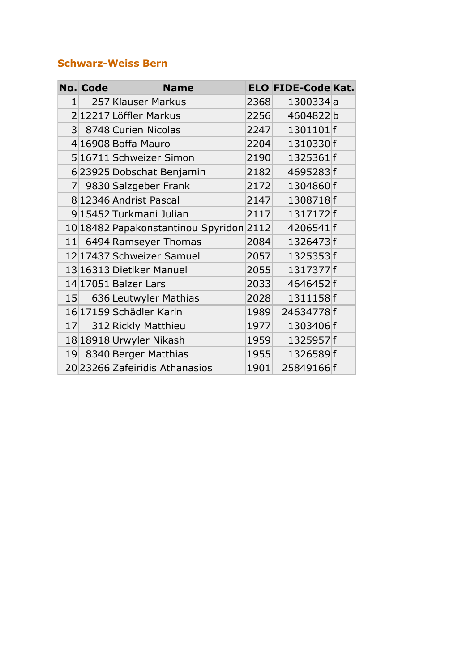#### **Schwarz-Weiss Bern**

|                 | <b>No. Code</b> | <b>Name</b>                             |      | <b>ELO FIDE-Code Kat.</b> |  |
|-----------------|-----------------|-----------------------------------------|------|---------------------------|--|
| $1\vert$        |                 | 257 Klauser Markus                      | 2368 | 1300334a                  |  |
|                 |                 | 212217 Löffler Markus                   | 2256 | 4604822b                  |  |
|                 |                 | 3 8748 Curien Nicolas                   | 2247 | 1301101f                  |  |
|                 |                 | 4 16908 Boffa Mauro                     | 2204 | 1310330f                  |  |
|                 |                 | 5 16711 Schweizer Simon                 | 2190 | 1325361f                  |  |
|                 |                 | 6 23925 Dobschat Benjamin               | 2182 | 4695283f                  |  |
| 7 <sup>1</sup>  |                 | 9830 Salzgeber Frank                    | 2172 | 1304860f                  |  |
|                 |                 | 8 12346 Andrist Pascal                  | 2147 | 1308718f                  |  |
|                 |                 | 915452 Turkmani Julian                  | 2117 | 1317172f                  |  |
|                 |                 | 10 18482 Papakonstantinou Spyridon 2112 |      | 4206541f                  |  |
|                 |                 | 11 6494 Ramseyer Thomas                 | 2084 | 1326473f                  |  |
|                 |                 | 12 17437 Schweizer Samuel               | 2057 | 1325353f                  |  |
|                 |                 | 13 16313 Dietiker Manuel                | 2055 | 1317377f                  |  |
|                 |                 | 14 17051 Balzer Lars                    | 2033 | 4646452f                  |  |
| 15 <sup>1</sup> |                 | 636 Leutwyler Mathias                   | 2028 | 1311158f                  |  |
|                 |                 | 16 17159 Schädler Karin                 | 1989 | 24634778f                 |  |
| 17 <sup>°</sup> |                 | 312 Rickly Matthieu                     | 1977 | 1303406f                  |  |
|                 |                 | 18 18918 Urwyler Nikash                 | 1959 | 1325957f                  |  |
| 19              |                 | 8340 Berger Matthias                    | 1955 | 1326589f                  |  |
|                 |                 | 20 23266 Zafeiridis Athanasios          | 1901 | 25849166f                 |  |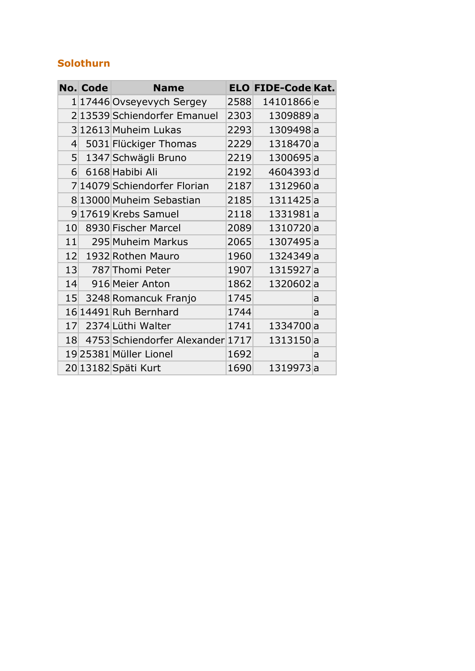#### **Solothurn**

|                 | <b>No. Code</b> | <b>Name</b>                      |      | <b>ELO FIDE-Code Kat.</b> |   |
|-----------------|-----------------|----------------------------------|------|---------------------------|---|
|                 |                 | 1 17446  Ovseyevych Sergey       | 2588 | 14101866e                 |   |
|                 |                 | 2 13539 Schiendorfer Emanuel     | 2303 | 1309889a                  |   |
|                 |                 | 3 12613 Muheim Lukas             | 2293 | 1309498a                  |   |
| 4               |                 | 5031 Flückiger Thomas            | 2229 | 1318470a                  |   |
| 5 <sup>1</sup>  |                 | 1347 Schwägli Bruno              | 2219 | 1300695a                  |   |
| 6 <sup>1</sup>  |                 | 6168 Habibi Ali                  | 2192 | 4604393d                  |   |
|                 |                 | 7 14079 Schiendorfer Florian     | 2187 | 1312960a                  |   |
|                 |                 | 8 13000 Muheim Sebastian         | 2185 | 1311425a                  |   |
|                 |                 | 9 17619 Krebs Samuel             | 2118 | 1331981a                  |   |
| 10              |                 | 8930 Fischer Marcel              | 2089 | 1310720a                  |   |
| 11              |                 | 295 Muheim Markus                | 2065 | 1307495a                  |   |
|                 |                 | 12 1932 Rothen Mauro             | 1960 | 1324349a                  |   |
| 13              |                 | 787 Thomi Peter                  | 1907 | 1315927a                  |   |
|                 |                 | 14 916 Meier Anton               | 1862 | 1320602a                  |   |
| 15 <sup>1</sup> |                 | 3248 Romancuk Franjo             | 1745 |                           | a |
|                 |                 | 16 14491 Ruh Bernhard            | 1744 |                           | a |
| 17              |                 | 2374 Lüthi Walter                | 1741 | 1334700a                  |   |
| 18              |                 | 4753 Schiendorfer Alexander 1717 |      | 1313150a                  |   |
|                 |                 | 1925381 Müller Lionel            | 1692 |                           | a |
|                 |                 | 20 13182 Späti Kurt              | 1690 | 1319973a                  |   |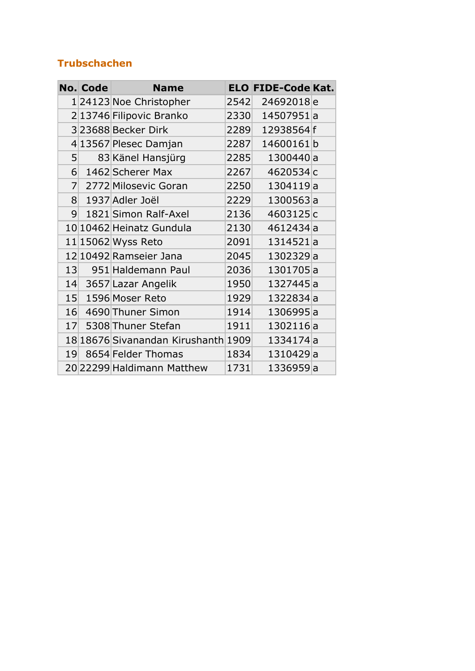#### **Trubschachen**

|                 | <b>No. Code</b> | <b>Name</b>                         |      | <b>ELO FIDE-Code Kat.</b> |  |
|-----------------|-----------------|-------------------------------------|------|---------------------------|--|
|                 |                 | 1 24123 Noe Christopher             | 2542 | 24692018e                 |  |
|                 |                 | 213746 Filipovic Branko             | 2330 | 14507951a                 |  |
|                 |                 | 323688 Becker Dirk                  | 2289 | 12938564f                 |  |
|                 |                 | 4 13567 Plesec Damjan               | 2287 | 14600161b                 |  |
| 5 <sup>1</sup>  |                 | 83 Känel Hansjürg                   | 2285 | 1300440a                  |  |
| 61              |                 | 1462 Scherer Max                    | 2267 | 4620534c                  |  |
| 7 <sup>1</sup>  |                 | 2772 Milosevic Goran                | 2250 | 1304119a                  |  |
| 8 <sup>1</sup>  |                 | 1937 Adler Joël                     | 2229 | 1300563a                  |  |
| 9 <sup>°</sup>  |                 | 1821 Simon Ralf-Axel                | 2136 | 4603125c                  |  |
|                 |                 | 10 10462 Heinatz Gundula            | 2130 | 4612434a                  |  |
|                 |                 | 11 15062 Wyss Reto                  | 2091 | 1314521a                  |  |
|                 |                 | 12 10492 Ramseier Jana              | 2045 | 1302329a                  |  |
| 13              |                 | 951 Haldemann Paul                  | 2036 | 1301705a                  |  |
|                 |                 | 14 3657 Lazar Angelik               | 1950 | 1327445a                  |  |
| 15 <sup>1</sup> |                 | 1596 Moser Reto                     | 1929 | 1322834a                  |  |
| 16              |                 | 4690 Thuner Simon                   | 1914 | 1306995a                  |  |
| 17 <sup>°</sup> |                 | 5308 Thuner Stefan                  | 1911 | 1302116a                  |  |
|                 |                 | 18 18676 Sivanandan Kirushanth 1909 |      | 1334174a                  |  |
|                 |                 | 19 8654 Felder Thomas               | 1834 | 1310429a                  |  |
|                 |                 | 20 22299 Haldimann Matthew          | 1731 | 1336959a                  |  |